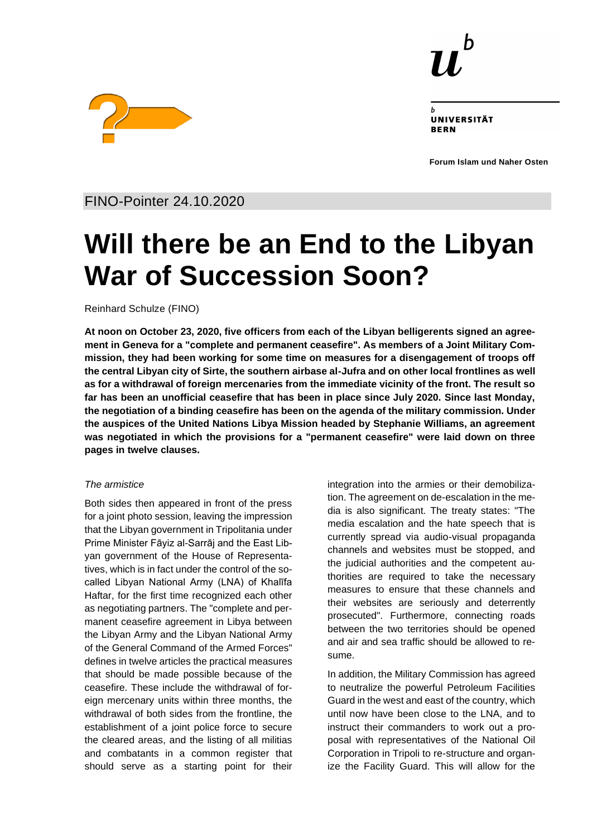

UNIVERSITÄT **RERN** 

**Forum Islam und Naher Osten**



FINO-Pointer 24.10.2020

# **Will there be an End to the Libyan War of Succession Soon?**

Reinhard Schulze (FINO)

**At noon on October 23, 2020, five officers from each of the Libyan belligerents signed an agreement in Geneva for a "complete and permanent ceasefire". As members of a Joint Military Commission, they had been working for some time on measures for a disengagement of troops off the central Libyan city of Sirte, the southern airbase al-Jufra and on other local frontlines as well as for a withdrawal of foreign mercenaries from the immediate vicinity of the front. The result so far has been an unofficial ceasefire that has been in place since July 2020. Since last Monday, the negotiation of a binding ceasefire has been on the agenda of the military commission. Under the auspices of the United Nations Libya Mission headed by Stephanie Williams, an agreement was negotiated in which the provisions for a "permanent ceasefire" were laid down on three pages in twelve clauses.**

#### *The armistice*

Both sides then appeared in front of the press for a joint photo session, leaving the impression that the Libyan government in Tripolitania under Prime Minister Fāyiz al-Sarrāj and the East Libyan government of the House of Representatives, which is in fact under the control of the socalled Libyan National Army (LNA) of Khalīfa Haftar, for the first time recognized each other as negotiating partners. The "complete and permanent ceasefire agreement in Libya between the Libyan Army and the Libyan National Army of the General Command of the Armed Forces" defines in twelve articles the practical measures that should be made possible because of the ceasefire. These include the withdrawal of foreign mercenary units within three months, the withdrawal of both sides from the frontline, the establishment of a joint police force to secure the cleared areas, and the listing of all militias and combatants in a common register that should serve as a starting point for their integration into the armies or their demobilization. The agreement on de-escalation in the media is also significant. The treaty states: "The media escalation and the hate speech that is currently spread via audio-visual propaganda channels and websites must be stopped, and the judicial authorities and the competent authorities are required to take the necessary measures to ensure that these channels and their websites are seriously and deterrently prosecuted". Furthermore, connecting roads between the two territories should be opened and air and sea traffic should be allowed to resume.

In addition, the Military Commission has agreed to neutralize the powerful Petroleum Facilities Guard in the west and east of the country, which until now have been close to the LNA, and to instruct their commanders to work out a proposal with representatives of the National Oil Corporation in Tripoli to re-structure and organize the Facility Guard. This will allow for the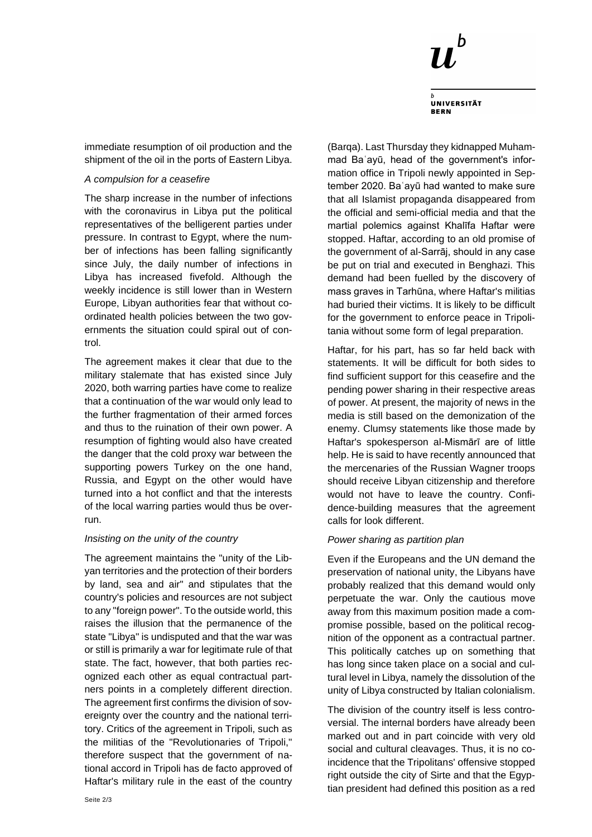

**UNIVERSITÄT BERN** 

immediate resumption of oil production and the shipment of the oil in the ports of Eastern Libya.

#### *A compulsion for a ceasefire*

The sharp increase in the number of infections with the coronavirus in Libya put the political representatives of the belligerent parties under pressure. In contrast to Egypt, where the number of infections has been falling significantly since July, the daily number of infections in Libya has increased fivefold. Although the weekly incidence is still lower than in Western Europe, Libyan authorities fear that without coordinated health policies between the two governments the situation could spiral out of control.

The agreement makes it clear that due to the military stalemate that has existed since July 2020, both warring parties have come to realize that a continuation of the war would only lead to the further fragmentation of their armed forces and thus to the ruination of their own power. A resumption of fighting would also have created the danger that the cold proxy war between the supporting powers Turkey on the one hand, Russia, and Egypt on the other would have turned into a hot conflict and that the interests of the local warring parties would thus be overrun.

# *Insisting on the unity of the country*

The agreement maintains the "unity of the Libyan territories and the protection of their borders by land, sea and air" and stipulates that the country's policies and resources are not subject to any "foreign power". To the outside world, this raises the illusion that the permanence of the state "Libya" is undisputed and that the war was or still is primarily a war for legitimate rule of that state. The fact, however, that both parties recognized each other as equal contractual partners points in a completely different direction. The agreement first confirms the division of sovereignty over the country and the national territory. Critics of the agreement in Tripoli, such as the militias of the "Revolutionaries of Tripoli," therefore suspect that the government of national accord in Tripoli has de facto approved of Haftar's military rule in the east of the country

(Barqa). Last Thursday they kidnapped Muhammad Baʿayū, head of the government's information office in Tripoli newly appointed in September 2020. Baʿayū had wanted to make sure that all Islamist propaganda disappeared from the official and semi-official media and that the martial polemics against Khalīfa Haftar were stopped. Haftar, according to an old promise of the government of al-Sarrāj, should in any case be put on trial and executed in Benghazi. This demand had been fuelled by the discovery of mass graves in Tarhūna, where Haftar's militias had buried their victims. It is likely to be difficult for the government to enforce peace in Tripolitania without some form of legal preparation.

Haftar, for his part, has so far held back with statements. It will be difficult for both sides to find sufficient support for this ceasefire and the pending power sharing in their respective areas of power. At present, the majority of news in the media is still based on the demonization of the enemy. Clumsy statements like those made by Haftar's spokesperson al-Mismārī are of little help. He is said to have recently announced that the mercenaries of the Russian Wagner troops should receive Libyan citizenship and therefore would not have to leave the country. Confidence-building measures that the agreement calls for look different.

# *Power sharing as partition plan*

Even if the Europeans and the UN demand the preservation of national unity, the Libyans have probably realized that this demand would only perpetuate the war. Only the cautious move away from this maximum position made a compromise possible, based on the political recognition of the opponent as a contractual partner. This politically catches up on something that has long since taken place on a social and cultural level in Libya, namely the dissolution of the unity of Libya constructed by Italian colonialism.

The division of the country itself is less controversial. The internal borders have already been marked out and in part coincide with very old social and cultural cleavages. Thus, it is no coincidence that the Tripolitans' offensive stopped right outside the city of Sirte and that the Egyptian president had defined this position as a red